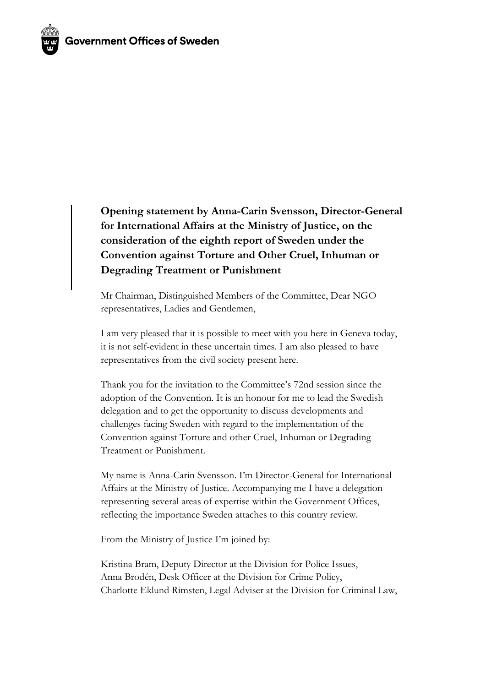

Mr Chairman, Distinguished Members of the Committee, Dear NGO representatives, Ladies and Gentlemen,

I am very pleased that it is possible to meet with you here in Geneva today, it is not self-evident in these uncertain times. I am also pleased to have representatives from the civil society present here.

Thank you for the invitation to the Committee's 72nd session since the adoption of the Convention. It is an honour for me to lead the Swedish delegation and to get the opportunity to discuss developments and challenges facing Sweden with regard to the implementation of the Convention against Torture and other Cruel, Inhuman or Degrading Treatment or Punishment.

My name is Anna-Carin Svensson. I'm Director-General for International Affairs at the Ministry of Justice. Accompanying me I have a delegation representing several areas of expertise within the Government Offices, reflecting the importance Sweden attaches to this country review.

From the Ministry of Justice I'm joined by:

Kristina Bram, Deputy Director at the Division for Police Issues, Anna Brodén, Desk Officer at the Division for Crime Policy, Charlotte Eklund Rimsten, Legal Adviser at the Division for Criminal Law,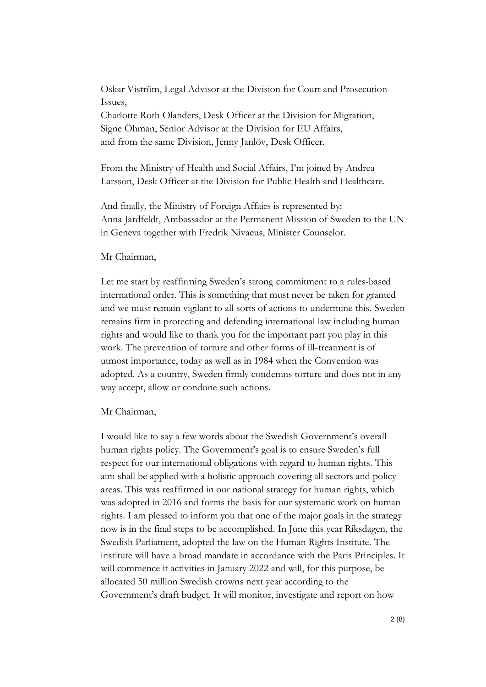Oskar Viström, Legal Advisor at the Division for Court and Prosecution Issues,

Charlotte Roth Olanders, Desk Officer at the Division for Migration, Signe Öhman, Senior Advisor at the Division for EU Affairs, and from the same Division, Jenny Janlöv, Desk Officer.

From the Ministry of Health and Social Affairs, I'm joined by Andrea Larsson, Desk Officer at the Division for Public Health and Healthcare.

And finally, the Ministry of Foreign Affairs is represented by: Anna Jardfeldt, Ambassador at the Permanent Mission of Sweden to the UN in Geneva together with Fredrik Nivaeus, Minister Counselor.

# Mr Chairman,

Let me start by reaffirming Sweden's strong commitment to a rules-based international order. This is something that must never be taken for granted and we must remain vigilant to all sorts of actions to undermine this. Sweden remains firm in protecting and defending international law including human rights and would like to thank you for the important part you play in this work. The prevention of torture and other forms of ill-treatment is of utmost importance, today as well as in 1984 when the Convention was adopted. As a country, Sweden firmly condemns torture and does not in any way accept, allow or condone such actions.

## Mr Chairman,

I would like to say a few words about the Swedish Government's overall human rights policy. The Government's goal is to ensure Sweden's full respect for our international obligations with regard to human rights. This aim shall be applied with a holistic approach covering all sectors and policy areas. This was reaffirmed in our national strategy for human rights, which was adopted in 2016 and forms the basis for our systematic work on human rights. I am pleased to inform you that one of the major goals in the strategy now is in the final steps to be accomplished. In June this year Riksdagen, the Swedish Parliament, adopted the law on the Human Rights Institute. The institute will have a broad mandate in accordance with the Paris Principles. It will commence it activities in January 2022 and will, for this purpose, be allocated 50 million Swedish crowns next year according to the Government's draft budget. It will monitor, investigate and report on how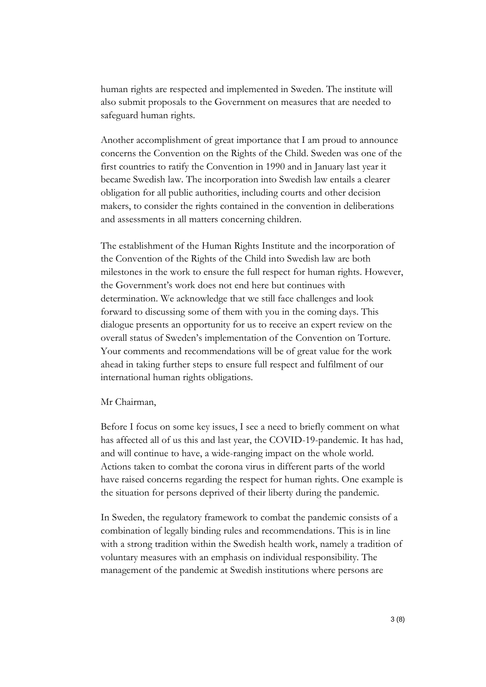human rights are respected and implemented in Sweden. The institute will also submit proposals to the Government on measures that are needed to safeguard human rights.

Another accomplishment of great importance that I am proud to announce concerns the Convention on the Rights of the Child. Sweden was one of the first countries to ratify the Convention in 1990 and in January last year it became Swedish law. The incorporation into Swedish law entails a clearer obligation for all public authorities, including courts and other decision makers, to consider the rights contained in the convention in deliberations and assessments in all matters concerning children.

The establishment of the Human Rights Institute and the incorporation of the Convention of the Rights of the Child into Swedish law are both milestones in the work to ensure the full respect for human rights. However, the Government's work does not end here but continues with determination. We acknowledge that we still face challenges and look forward to discussing some of them with you in the coming days. This dialogue presents an opportunity for us to receive an expert review on the overall status of Sweden's implementation of the Convention on Torture. Your comments and recommendations will be of great value for the work ahead in taking further steps to ensure full respect and fulfilment of our international human rights obligations.

## Mr Chairman,

Before I focus on some key issues, I see a need to briefly comment on what has affected all of us this and last year, the COVID-19-pandemic. It has had, and will continue to have, a wide-ranging impact on the whole world. Actions taken to combat the corona virus in different parts of the world have raised concerns regarding the respect for human rights. One example is the situation for persons deprived of their liberty during the pandemic.

In Sweden, the regulatory framework to combat the pandemic consists of a combination of legally binding rules and recommendations. This is in line with a strong tradition within the Swedish health work, namely a tradition of voluntary measures with an emphasis on individual responsibility. The management of the pandemic at Swedish institutions where persons are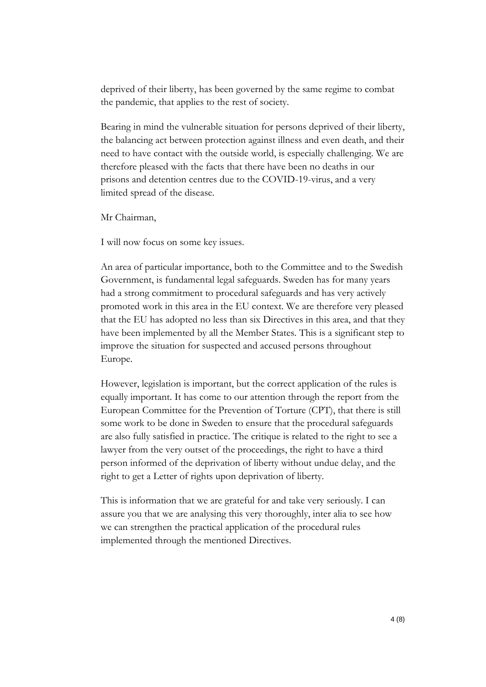deprived of their liberty, has been governed by the same regime to combat the pandemic, that applies to the rest of society.

Bearing in mind the vulnerable situation for persons deprived of their liberty, the balancing act between protection against illness and even death, and their need to have contact with the outside world, is especially challenging. We are therefore pleased with the facts that there have been no deaths in our prisons and detention centres due to the COVID-19-virus, and a very limited spread of the disease.

Mr Chairman,

I will now focus on some key issues.

An area of particular importance, both to the Committee and to the Swedish Government, is fundamental legal safeguards. Sweden has for many years had a strong commitment to procedural safeguards and has very actively promoted work in this area in the EU context. We are therefore very pleased that the EU has adopted no less than six Directives in this area, and that they have been implemented by all the Member States. This is a significant step to improve the situation for suspected and accused persons throughout Europe.

However, legislation is important, but the correct application of the rules is equally important. It has come to our attention through the report from the European Committee for the Prevention of Torture (CPT), that there is still some work to be done in Sweden to ensure that the procedural safeguards are also fully satisfied in practice. The critique is related to the right to see a lawyer from the very outset of the proceedings, the right to have a third person informed of the deprivation of liberty without undue delay, and the right to get a Letter of rights upon deprivation of liberty.

This is information that we are grateful for and take very seriously. I can assure you that we are analysing this very thoroughly, inter alia to see how we can strengthen the practical application of the procedural rules implemented through the mentioned Directives.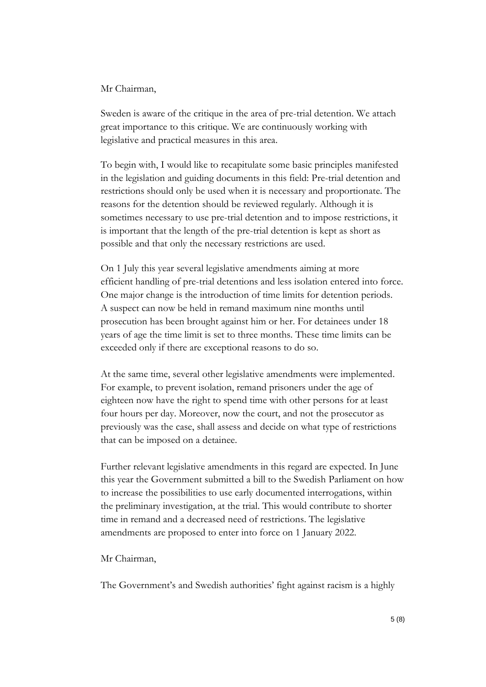## Mr Chairman,

Sweden is aware of the critique in the area of pre-trial detention. We attach great importance to this critique. We are continuously working with legislative and practical measures in this area.

To begin with, I would like to recapitulate some basic principles manifested in the legislation and guiding documents in this field: Pre-trial detention and restrictions should only be used when it is necessary and proportionate. The reasons for the detention should be reviewed regularly. Although it is sometimes necessary to use pre-trial detention and to impose restrictions, it is important that the length of the pre-trial detention is kept as short as possible and that only the necessary restrictions are used.

On 1 July this year several legislative amendments aiming at more efficient handling of pre-trial detentions and less isolation entered into force. One major change is the introduction of time limits for detention periods. A suspect can now be held in remand maximum nine months until prosecution has been brought against him or her. For detainees under 18 years of age the time limit is set to three months. These time limits can be exceeded only if there are exceptional reasons to do so.

At the same time, several other legislative amendments were implemented. For example, to prevent isolation, remand prisoners under the age of eighteen now have the right to spend time with other persons for at least four hours per day. Moreover, now the court, and not the prosecutor as previously was the case, shall assess and decide on what type of restrictions that can be imposed on a detainee.

Further relevant legislative amendments in this regard are expected. In June this year the Government submitted a bill to the Swedish Parliament on how to increase the possibilities to use early documented interrogations, within the preliminary investigation, at the trial. This would contribute to shorter time in remand and a decreased need of restrictions. The legislative amendments are proposed to enter into force on 1 January 2022.

## Mr Chairman,

The Government's and Swedish authorities' fight against racism is a highly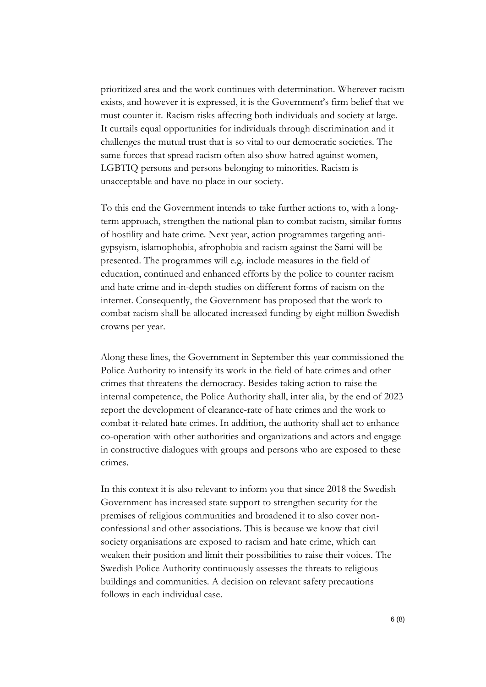prioritized area and the work continues with determination. Wherever racism exists, and however it is expressed, it is the Government's firm belief that we must counter it. Racism risks affecting both individuals and society at large. It curtails equal opportunities for individuals through discrimination and it challenges the mutual trust that is so vital to our democratic societies. The same forces that spread racism often also show hatred against women, LGBTIQ persons and persons belonging to minorities. Racism is unacceptable and have no place in our society.

To this end the Government intends to take further actions to, with a longterm approach, strengthen the national plan to combat racism, similar forms of hostility and hate crime. Next year, action programmes targeting antigypsyism, islamophobia, afrophobia and racism against the Sami will be presented. The programmes will e.g. include measures in the field of education, continued and enhanced efforts by the police to counter racism and hate crime and in-depth studies on different forms of racism on the internet. Consequently, the Government has proposed that the work to combat racism shall be allocated increased funding by eight million Swedish crowns per year.

Along these lines, the Government in September this year commissioned the Police Authority to intensify its work in the field of hate crimes and other crimes that threatens the democracy. Besides taking action to raise the internal competence, the Police Authority shall, inter alia, by the end of 2023 report the development of clearance-rate of hate crimes and the work to combat it-related hate crimes. In addition, the authority shall act to enhance co-operation with other authorities and organizations and actors and engage in constructive dialogues with groups and persons who are exposed to these crimes.

In this context it is also relevant to inform you that since 2018 the Swedish Government has increased state support to strengthen security for the premises of religious communities and broadened it to also cover nonconfessional and other associations. This is because we know that civil society organisations are exposed to racism and hate crime, which can weaken their position and limit their possibilities to raise their voices. The Swedish Police Authority continuously assesses the threats to religious buildings and communities. A decision on relevant safety precautions follows in each individual case.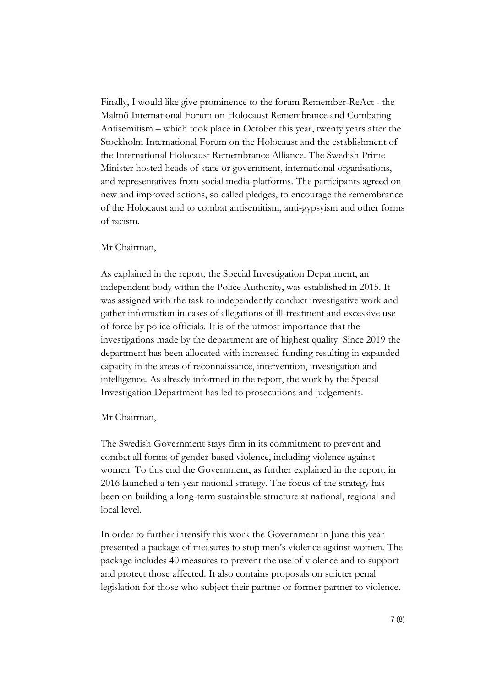Finally, I would like give prominence to the forum Remember-ReAct - the Malmö International Forum on Holocaust Remembrance and Combating Antisemitism – which took place in October this year, twenty years after the Stockholm International Forum on the Holocaust and the establishment of the International Holocaust Remembrance Alliance. The Swedish Prime Minister hosted heads of state or government, international organisations, and representatives from social media-platforms. The participants agreed on new and improved actions, so called pledges, to encourage the remembrance of the Holocaust and to combat antisemitism, anti-gypsyism and other forms of racism.

# Mr Chairman,

As explained in the report, the Special Investigation Department, an independent body within the Police Authority, was established in 2015. It was assigned with the task to independently conduct investigative work and gather information in cases of allegations of ill-treatment and excessive use of force by police officials. It is of the utmost importance that the investigations made by the department are of highest quality. Since 2019 the department has been allocated with increased funding resulting in expanded capacity in the areas of reconnaissance, intervention, investigation and intelligence. As already informed in the report, the work by the Special Investigation Department has led to prosecutions and judgements.

## Mr Chairman,

The Swedish Government stays firm in its commitment to prevent and combat all forms of gender-based violence, including violence against women. To this end the Government, as further explained in the report, in 2016 launched a ten-year national strategy. The focus of the strategy has been on building a long-term sustainable structure at national, regional and local level.

In order to further intensify this work the Government in June this year presented a package of measures to stop men's violence against women. The package includes 40 measures to prevent the use of violence and to support and protect those affected. It also contains proposals on stricter penal legislation for those who subject their partner or former partner to violence.